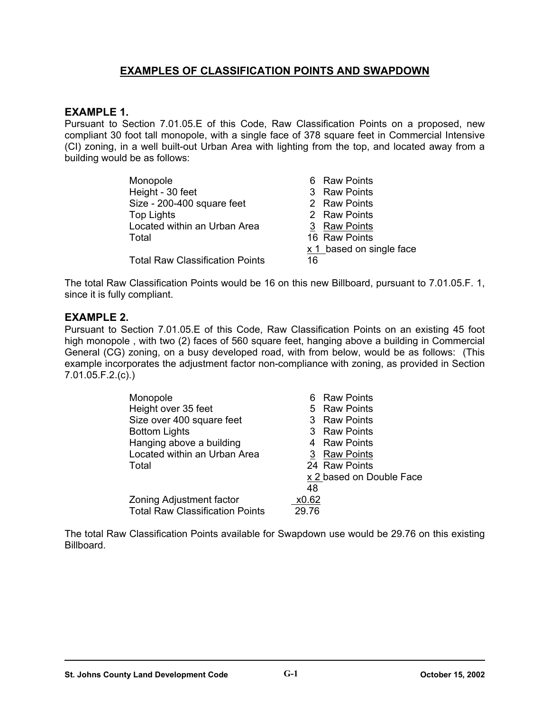# **EXAMPLES OF CLASSIFICATION POINTS AND SWAPDOWN**

### **EXAMPLE 1.**

Pursuant to Section 7.01.05.E of this Code, Raw Classification Points on a proposed, new compliant 30 foot tall monopole, with a single face of 378 square feet in Commercial Intensive (CI) zoning, in a well built-out Urban Area with lighting from the top, and located away from a building would be as follows:

| Monopole                               | 6 Raw Points               |
|----------------------------------------|----------------------------|
| Height - 30 feet                       | 3 Raw Points               |
| Size - 200-400 square feet             | 2 Raw Points               |
| <b>Top Lights</b>                      | 2 Raw Points               |
| Located within an Urban Area           | 3 Raw Points               |
| Total                                  | 16 Raw Points              |
|                                        | $x 1$ based on single face |
| <b>Total Raw Classification Points</b> | 16                         |

The total Raw Classification Points would be 16 on this new Billboard, pursuant to 7.01.05.F. 1, since it is fully compliant.

## **EXAMPLE 2.**

Pursuant to Section 7.01.05.E of this Code, Raw Classification Points on an existing 45 foot high monopole , with two (2) faces of 560 square feet, hanging above a building in Commercial General (CG) zoning, on a busy developed road, with from below, would be as follows: (This example incorporates the adjustment factor non-compliance with zoning, as provided in Section 7.01.05.F.2.(c).)

| Monopole                               | 6 Raw Points             |
|----------------------------------------|--------------------------|
| Height over 35 feet                    | 5 Raw Points             |
| Size over 400 square feet              | 3 Raw Points             |
| <b>Bottom Lights</b>                   | 3 Raw Points             |
| Hanging above a building               | 4 Raw Points             |
| Located within an Urban Area           | 3 Raw Points             |
| Total                                  | 24 Raw Points            |
|                                        | x 2 based on Double Face |
|                                        | 48                       |
| <b>Zoning Adjustment factor</b>        | x0.62                    |
| <b>Total Raw Classification Points</b> | 29.76                    |

The total Raw Classification Points available for Swapdown use would be 29.76 on this existing Billboard.